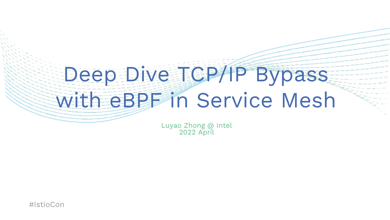# Deep Dive TCP/IP Bypass with eBPF in Service Mesh

Luyao Zhong @ Intel 2022 April

#IstioCon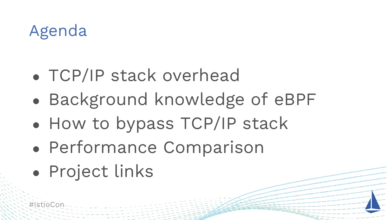#### Agenda

- TCP/IP stack overhead
- Background knowledge of eBPF
- How to bypass TCP/IP stack
- Performance Comparison
- Project links

#IstioC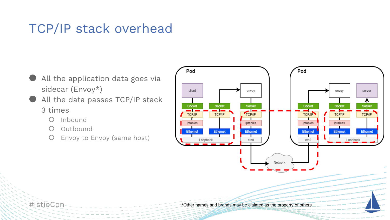#### TCP/IP stack overhead

- All the application data goes via sidecar (Envoy\*)
- All the data passes TCP/IP stack 3 times
	- Inbound
	- Outbound
	- Envoy to Envoy (same host)



#IstioCon

\*Other names and brands may be claimed as the property of others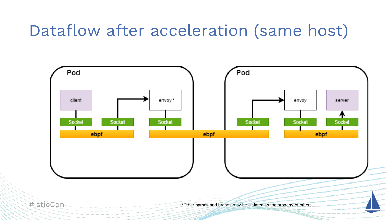#### Dataflow after acceleration (same host)

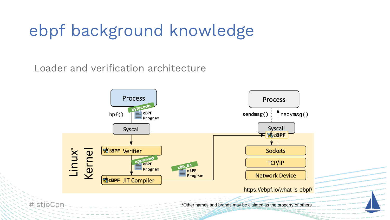## ebpf background knowledge

Loader and verification architecture

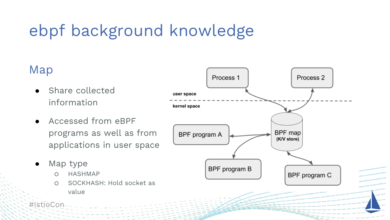# ebpf background knowledge

#### Map

- Share collected information
- Accessed from eBPF programs as well as from applications in user space
- Map type
	- o HASHMAP
	- o SOCKHASH: Hold socket as value



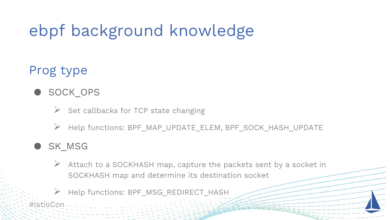# ebpf background knowledge

#### Prog type

- SOCK OPS
	- $\triangleright$  Set callbacks for TCP state changing
	- ➢ Help functions: BPF\_MAP\_UPDATE\_ELEM, BPF\_SOCK\_HASH\_UPDATE

#### SK\_MSG

- $\triangleright$  Attach to a SOCKHASH map, capture the packets sent by a socket in SOCKHASH map and determine its destination socket
- Help functions: BPF\_MSG\_REDIRECT\_HASH

#IstioCor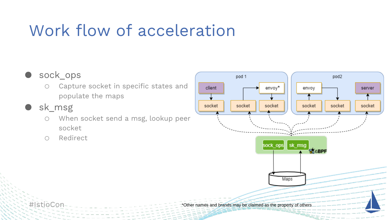# Work flow of acceleration

#### ● sock ops

- o Capture socket in specific states and populate the maps
- sk\_msg

#IstioCon

- o When socket send a msg, lookup peer socket
- o Redirect

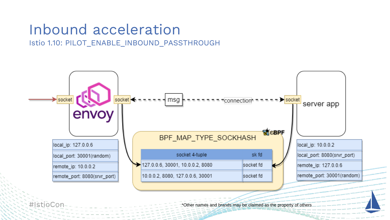#### Inbound acceleration

Istio 1.10: PILOT\_ENABLE\_INBOUND\_PASSTHROUGH



#IstioCor

\*Other names and brands may be claimed as the property of others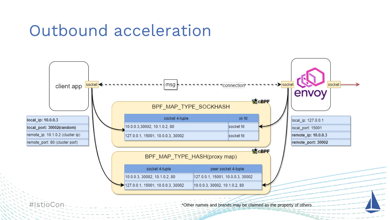#### Outbound acceleration

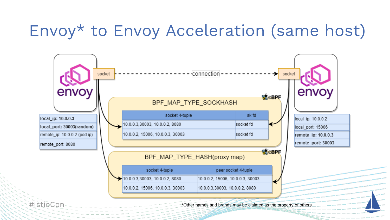## Envoy\* to Envoy Acceleration (same host)



\*Other names and brands may be claimed as the property of others

#IstioCor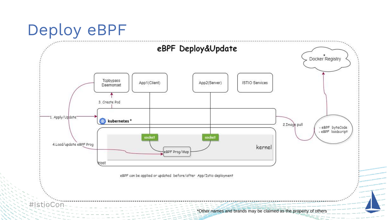#### Deploy eBPF

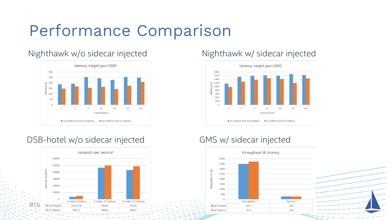## Performance Comparison

#### Nighthawk w/o sidecar injected Nighthawk w/ sidecar injected



#### DSB-hotel w/o sidecar injected GMS w/ sidecar injected





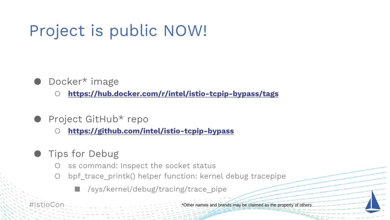# Project is public NOW!

- Docker\* image
	- **<https://hub.docker.com/r/intel/istio-tcpip-bypass/tags>**
- Project GitHub\* repo
	- **<https://github.com/intel/istio-tcpip-bypass>**
- **Tips for Debug** 
	- ss command: Inspect the socket status
	- bpf\_trace\_printk() helper function: kernel debug tracepipe
		- /sys/kernel/debug/tracing/trace\_pipe

#IstioCon

\*Other names and brands may be claimed as the property of others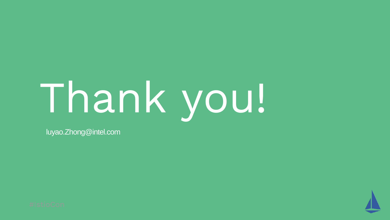# Thank you!

luyao.Zhong@intel.com